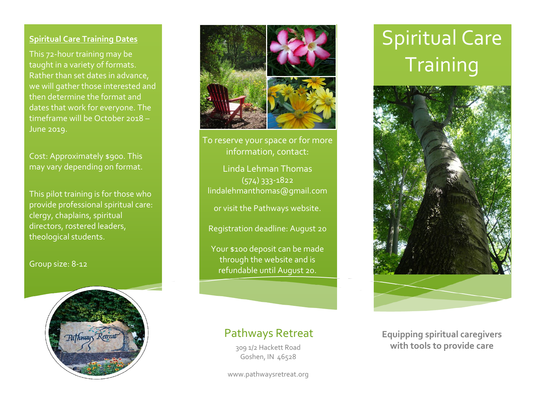#### **Spiritual Care Training Dates**

This 72-hour training may be taught in a variety of formats. Rather than set dates in advance, we will gather those interested and then determine the format and dates that work for everyone. The timeframe will be October 2018 – June 2019.

Cost: Approximately \$900. This may vary depending on format.

This pilot training is for those who provide professional spiritual care: clergy, chaplains, spiritual directors, rostered leaders, theological students.

Group size: 8-12





To reserve your space or for more information, contact:

Linda Lehman Thomas (574) 333-1822 lindalehmanthomas@gmail.com

or visit the Pathways website.

Registration deadline: August 20

Your \$100 deposit can be made through the website and is refundable until August 20.

### Pathways Retreat

Goshen, IN 46528

www.pathwaysretreat.org

## Spiritual Care **Training**



**Equipping spiritual caregivers Equipping spiritual caregivers with tools to provide care**  309 1/2 Hackett Road **with tools to provide care**